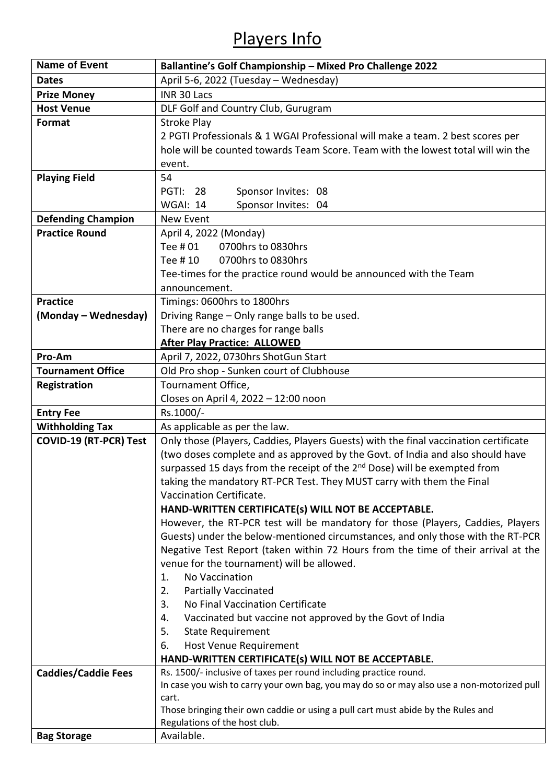## Players Info

| <b>Name of Event</b>          | Ballantine's Golf Championship - Mixed Pro Challenge 2022                                  |  |  |
|-------------------------------|--------------------------------------------------------------------------------------------|--|--|
| <b>Dates</b>                  | April 5-6, 2022 (Tuesday - Wednesday)                                                      |  |  |
| <b>Prize Money</b>            | INR 30 Lacs                                                                                |  |  |
| <b>Host Venue</b>             | DLF Golf and Country Club, Gurugram                                                        |  |  |
| Format                        | <b>Stroke Play</b>                                                                         |  |  |
|                               | 2 PGTI Professionals & 1 WGAI Professional will make a team. 2 best scores per             |  |  |
|                               | hole will be counted towards Team Score. Team with the lowest total will win the           |  |  |
|                               | event.                                                                                     |  |  |
| <b>Playing Field</b>          | 54                                                                                         |  |  |
|                               | <b>PGTI: 28</b><br>Sponsor Invites: 08                                                     |  |  |
|                               | <b>WGAI: 14</b><br>Sponsor Invites: 04                                                     |  |  |
| <b>Defending Champion</b>     | New Event                                                                                  |  |  |
| <b>Practice Round</b>         | April 4, 2022 (Monday)                                                                     |  |  |
|                               | Tee # 01<br>0700hrs to 0830hrs                                                             |  |  |
|                               | 0700hrs to 0830hrs<br>Tee # 10                                                             |  |  |
|                               | Tee-times for the practice round would be announced with the Team                          |  |  |
|                               | announcement.                                                                              |  |  |
| <b>Practice</b>               | Timings: 0600hrs to 1800hrs                                                                |  |  |
| (Monday – Wednesday)          | Driving Range - Only range balls to be used.                                               |  |  |
|                               | There are no charges for range balls                                                       |  |  |
|                               | <b>After Play Practice: ALLOWED</b>                                                        |  |  |
| Pro-Am                        | April 7, 2022, 0730hrs ShotGun Start                                                       |  |  |
| <b>Tournament Office</b>      | Old Pro shop - Sunken court of Clubhouse                                                   |  |  |
| Registration                  | Tournament Office,                                                                         |  |  |
|                               | Closes on April 4, 2022 - 12:00 noon                                                       |  |  |
| <b>Entry Fee</b>              | Rs.1000/-                                                                                  |  |  |
| <b>Withholding Tax</b>        | As applicable as per the law.                                                              |  |  |
| <b>COVID-19 (RT-PCR) Test</b> | Only those (Players, Caddies, Players Guests) with the final vaccination certificate       |  |  |
|                               | (two doses complete and as approved by the Govt. of India and also should have             |  |  |
|                               | surpassed 15 days from the receipt of the 2 <sup>nd</sup> Dose) will be exempted from      |  |  |
|                               | taking the mandatory RT-PCR Test. They MUST carry with them the Final                      |  |  |
|                               | Vaccination Certificate.                                                                   |  |  |
|                               | HAND-WRITTEN CERTIFICATE(s) WILL NOT BE ACCEPTABLE.                                        |  |  |
|                               | However, the RT-PCR test will be mandatory for those (Players, Caddies, Players            |  |  |
|                               | Guests) under the below-mentioned circumstances, and only those with the RT-PCR            |  |  |
|                               | Negative Test Report (taken within 72 Hours from the time of their arrival at the          |  |  |
|                               | venue for the tournament) will be allowed.                                                 |  |  |
|                               | No Vaccination<br>1.                                                                       |  |  |
|                               | <b>Partially Vaccinated</b><br>2.                                                          |  |  |
|                               | No Final Vaccination Certificate<br>3.                                                     |  |  |
|                               | Vaccinated but vaccine not approved by the Govt of India<br>4.                             |  |  |
|                               | 5.<br><b>State Requirement</b>                                                             |  |  |
|                               | Host Venue Requirement<br>6.<br>HAND-WRITTEN CERTIFICATE(s) WILL NOT BE ACCEPTABLE.        |  |  |
|                               | Rs. 1500/- inclusive of taxes per round including practice round.                          |  |  |
| <b>Caddies/Caddie Fees</b>    | In case you wish to carry your own bag, you may do so or may also use a non-motorized pull |  |  |
|                               | cart.                                                                                      |  |  |
|                               | Those bringing their own caddie or using a pull cart must abide by the Rules and           |  |  |
|                               | Regulations of the host club.                                                              |  |  |
| <b>Bag Storage</b>            | Available.                                                                                 |  |  |